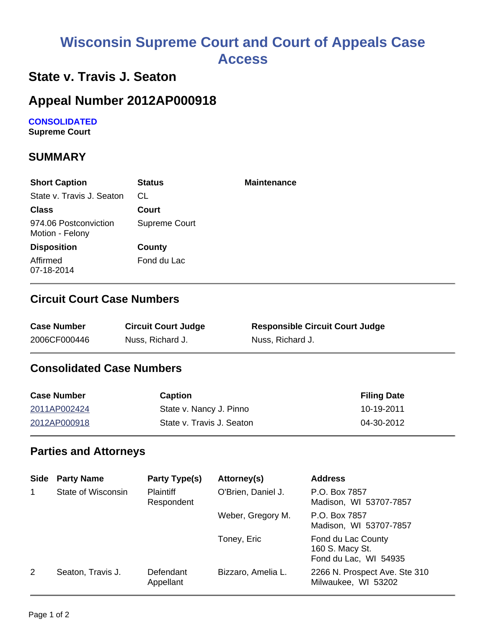# **Wisconsin Supreme Court and Court of Appeals Case Access**

# **State v. Travis J. Seaton**

# **Appeal Number 2012AP000918**

**CONSOLIDATED**

**Supreme Court** 

## **SUMMARY**

| <b>Short Caption</b>                     | <b>Status</b> | <b>Maintenance</b> |
|------------------------------------------|---------------|--------------------|
| State v. Travis J. Seaton                | CL.           |                    |
| <b>Class</b>                             | Court         |                    |
| 974.06 Postconviction<br>Motion - Felony | Supreme Court |                    |
| <b>Disposition</b>                       | County        |                    |
| Affirmed<br>07-18-2014                   | Fond du Lac   |                    |

#### **Circuit Court Case Numbers**

| <b>Case Number</b> | <b>Circuit Court Judge</b> | <b>Responsible Circuit Court Judge</b> |
|--------------------|----------------------------|----------------------------------------|
| 2006CF000446       | Nuss, Richard J.           | Nuss, Richard J.                       |

## **Consolidated Case Numbers**

| <b>Case Number</b> | <b>Caption</b>            | <b>Filing Date</b> |
|--------------------|---------------------------|--------------------|
| 2011AP002424       | State v. Nancy J. Pinno   | 10-19-2011         |
| 2012AP000918       | State v. Travis J. Seaton | 04-30-2012         |

#### **Parties and Attorneys**

| <b>Side</b> | <b>Party Name</b>  | Party Type(s)                  | Attorney(s)        | <b>Address</b>                                                 |
|-------------|--------------------|--------------------------------|--------------------|----------------------------------------------------------------|
| $\mathbf 1$ | State of Wisconsin | <b>Plaintiff</b><br>Respondent | O'Brien, Daniel J. | P.O. Box 7857<br>Madison, WI 53707-7857                        |
|             |                    |                                | Weber, Gregory M.  | P.O. Box 7857<br>Madison, WI 53707-7857                        |
|             |                    |                                | Toney, Eric        | Fond du Lac County<br>160 S. Macy St.<br>Fond du Lac, WI 54935 |
| 2           | Seaton, Travis J.  | Defendant<br>Appellant         | Bizzaro, Amelia L. | 2266 N. Prospect Ave. Ste 310<br>Milwaukee, WI 53202           |